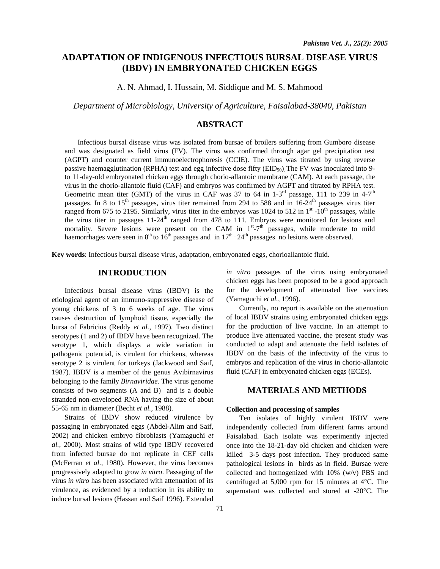# **ADAPTATION OF INDIGENOUS INFECTIOUS BURSAL DISEASE VIRUS (IBDV) IN EMBRYONATED CHICKEN EGGS**

A. N. Ahmad, I. Hussain, M. Siddique and M. S. Mahmood

*Department of Microbiology, University of Agriculture, Faisalabad-38040, Pakistan* 

# **ABSTRACT**

Infectious bursal disease virus was isolated from bursae of broilers suffering from Gumboro disease and was designated as field virus (FV). The virus was confirmed through agar gel precipitation test (AGPT) and counter current immunoelectrophoresis (CCIE). The virus was titrated by using reverse passive haemagglutination (RPHA) test and egg infective dose fifty ( $EID_{50}$ ). The FV was inoculated into 9to 11-day-old embryonated chicken eggs through chorio-allantoic membrane (CAM). At each passage, the virus in the chorio-allantoic fluid (CAF) and embryos was confirmed by AGPT and titrated by RPHA test. Geometric mean titer (GMT) of the virus in CAF was 37 to 64 in  $1-3<sup>rd</sup>$  passage, 111 to 239 in 4-7<sup>th</sup> passages. In 8 to  $15<sup>th</sup>$  passages, virus titer remained from 294 to 588 and in  $16-24<sup>th</sup>$  passages virus titer ranged from 675 to 2195. Similarly, virus titer in the embryos was 1024 to 512 in  $1<sup>st</sup>$  -10<sup>th</sup> passages, while the virus titer in passages  $11-24<sup>th</sup>$  ranged from 478 to 111. Embryos were monitored for lesions and mortality. Severe lesions were present on the CAM in  $1<sup>st</sup> - 7<sup>th</sup>$  passages, while moderate to mild haemorrhages were seen in  $8<sup>th</sup>$  to  $16<sup>th</sup>$  passages and in  $17<sup>th</sup>$  -  $24<sup>th</sup>$  passages no lesions were observed.

**Key words**: Infectious bursal disease virus, adaptation, embryonated eggs, chorioallantoic fluid.

## **INTRODUCTION**

 Infectious bursal disease virus (IBDV) is the etiological agent of an immuno-suppressive disease of young chickens of 3 to 6 weeks of age. The virus causes destruction of lymphoid tissue, especially the bursa of Fabricius (Reddy *et al.,* 1997). Two distinct serotypes (1 and 2) of IBDV have been recognized. The serotype 1, which displays a wide variation in pathogenic potential, is virulent for chickens, whereas serotype 2 is virulent for turkeys (Jackwood and Saif, 1987). IBDV is a member of the genus Avibirnavirus belonging to the family *Birnaviridae*. The virus genome consists of two segments (A and B) and is a double stranded non-enveloped RNA having the size of about 55-65 nm in diameter (Becht *et al.,* 1988).

 Strains of IBDV show reduced virulence by passaging in embryonated eggs (Abdel-Alim and Saif, 2002) and chicken embryo fibroblasts (Yamaguchi *et al.,* 2000). Most strains of wild type IBDV recovered from infected bursae do not replicate in CEF cells (McFerran *et al.,* 1980). However, the virus becomes progressively adapted to grow *in vitro*. Passaging of the virus *in vitro* has been associated with attenuation of its virulence, as evidenced by a reduction in its ability to induce bursal lesions (Hassan and Saif 1996). Extended

*in vitro* passages of the virus using embryonated chicken eggs has been proposed to be a good approach for the development of attenuated live vaccines (Yamaguchi *et al.,* 1996).

 Currently, no report is available on the attenuation of local IBDV strains using embryonated chicken eggs for the production of live vaccine. In an attempt to produce live attenuated vaccine, the present study was conducted to adapt and attenuate the field isolates of IBDV on the basis of the infectivity of the virus to embryos and replication of the virus in chorio-allantoic fluid (CAF) in embryonated chicken eggs (ECEs).

### **MATERIALS AND METHODS**

#### **Collection and processing of samples**

 Ten isolates of highly virulent IBDV were independently collected from different farms around Faisalabad. Each isolate was experimently injected once into the 18-21-day old chicken and chicken were killed 3-5 days post infection. They produced same pathological lesions in birds as in field. Bursae were collected and homogenized with 10% (w/v) PBS and centrifuged at 5,000 rpm for 15 minutes at 4°C. The supernatant was collected and stored at -20°C. The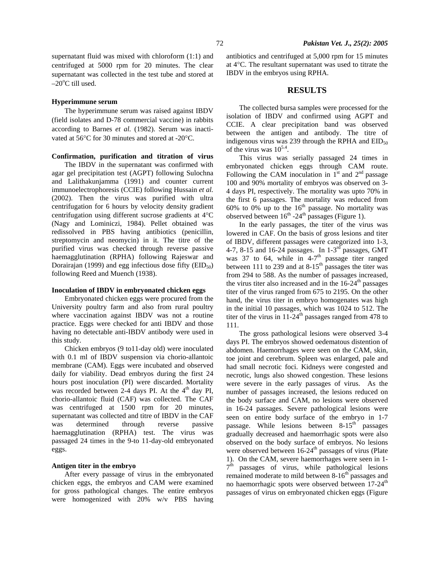supernatant fluid was mixed with chloroform (1:1) and centrifuged at 5000 rpm for 20 minutes. The clear supernatant was collected in the test tube and stored at  $-20^{\circ}$ C till used.

#### **Hyperimmune serum**

 The hyperimmune serum was raised against IBDV (field isolates and D-78 commercial vaccine) in rabbits according to Barnes *et al.* (1982). Serum was inactivated at 56°C for 30 minutes and stored at -20°C.

#### **Confirmation, purification and titration of virus**

The IBDV in the supernatant was confirmed with agar gel precipitation test (AGPT) following Sulochna and Lalithakunjamma (1991) and counter current immunoelectrophoresis (CCIE) following Hussain *et al.*  (2002). Then the virus was purified with ultra centrifugation for 6 hours by velocity density gradient centrifugation using different sucrose gradients at 4°C (Nagy and Lominiczi, 1984). Pellet obtained was redissolved in PBS having antibiotics (penicillin, streptomycin and neomycin) in it. The titre of the purified virus was checked through reverse passive haemagglutination (RPHA) following Rajeswar and Dorairajan (1999) and egg infectious dose fifty  $(EID_{50})$ following Reed and Muench (1938).

#### **Inoculation of IBDV in embryonated chicken eggs**

Embryonated chicken eggs were procured from the University poultry farm and also from rural poultry where vaccination against IBDV was not a routine practice. Eggs were checked for anti IBDV and those having no detectable anti-IBDV antibody were used in this study.

 Chicken embryos (9 to11-day old) were inoculated with 0.1 ml of IBDV suspension via chorio-allantoic membrane (CAM). Eggs were incubated and observed daily for viability. Dead embryos during the first 24 hours post inoculation (PI) were discarded. Mortality was recorded between 2-4 days PI. At the 4<sup>th</sup> day PI, chorio-allantoic fluid (CAF) was collected. The CAF was centrifuged at 1500 rpm for 20 minutes, supernatant was collected and titre of IBDV in the CAF was determined through reverse passive haemagglutination (RPHA) test. The virus was passaged 24 times in the 9-to 11-day-old embryonated eggs.

#### **Antigen titer in the embryo**

 After every passage of virus in the embryonated chicken eggs, the embryos and CAM were examined for gross pathological changes. The entire embryos were homogenized with 20% w/v PBS having antibiotics and centrifuged at 5,000 rpm for 15 minutes at 4°C. The resultant supernatant was used to titrate the IBDV in the embryos using RPHA.

#### **RESULTS**

 The collected bursa samples were processed for the isolation of IBDV and confirmed using AGPT and CCIE. A clear precipitation band was observed between the antigen and antibody. The titre of indigenous virus was 239 through the RPHA and  $EID_{50}$ of the virus was  $10^{5.4}$ .

 This virus was serially passaged 24 times in embryonated chicken eggs through CAM route. Following the CAM inoculation in  $1<sup>st</sup>$  and  $2<sup>nd</sup>$  passage 100 and 90% mortality of embryos was observed on 3- 4 days PI, respectively. The mortality was upto 70% in the first 6 passages. The mortality was reduced from 60% to 0% up to the  $16<sup>th</sup>$  passage. No mortality was observed between  $16<sup>th</sup>$  -24<sup>th</sup> passages (Figure 1).

 In the early passages, the titer of the virus was lowered in CAF. On the basis of gross lesions and titer of IBDV, different passages were categorized into 1-3, 4-7, 8-15 and 16-24 passages. In  $1\text{-}3^{\text{rd}}$  passages, GMT was 37 to 64, while in  $4-7<sup>th</sup>$  passage titer ranged between 111 to 239 and at  $8-15<sup>th</sup>$  passages the titer was from 294 to 588. As the number of passages increased, the virus titer also increased and in the  $16-24<sup>th</sup>$  passages titer of the virus ranged from 675 to 2195. On the other hand, the virus titer in embryo homogenates was high in the initial 10 passages, which was 1024 to 512. The titer of the virus in  $11-24$ <sup>th</sup> passages ranged from 478 to 111.

 The gross pathological lesions were observed 3-4 days PI. The embryos showed oedematous distention of abdomen. Haemorrhages were seen on the CAM, skin, toe joint and cerebrum. Spleen was enlarged, pale and had small necrotic foci. Kidneys were congested and necrotic, lungs also showed congestion. These lesions were severe in the early passages of virus. As the number of passages increased, the lesions reduced on the body surface and CAM, no lesions were observed in 16-24 passages. Severe pathological lesions were seen on entire body surface of the embryo in 1-7 passage. While lesions between  $8-15<sup>th</sup>$  passages gradually decreased and haemorrhagic spots were also observed on the body surface of embryos. No lesions were observed between 16-24<sup>th</sup> passages of virus (Plate 1). On the CAM, severe haemorrhages were seen in 1-  $7<sup>th</sup>$  passages of virus, while pathological lesions remained moderate to mild between 8-16<sup>th</sup> passages and no haemorrhagic spots were observed between  $17-24$ <sup>th</sup> passages of virus on embryonated chicken eggs (Figure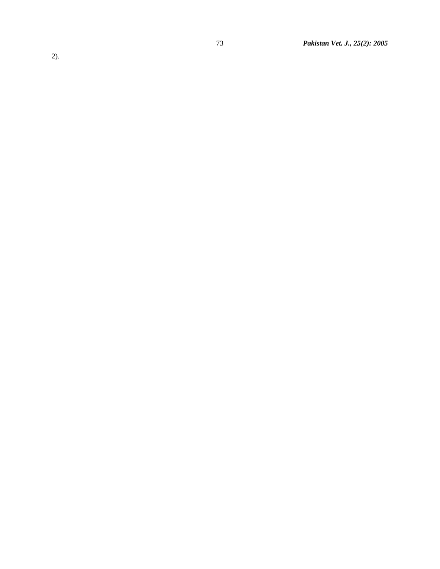2).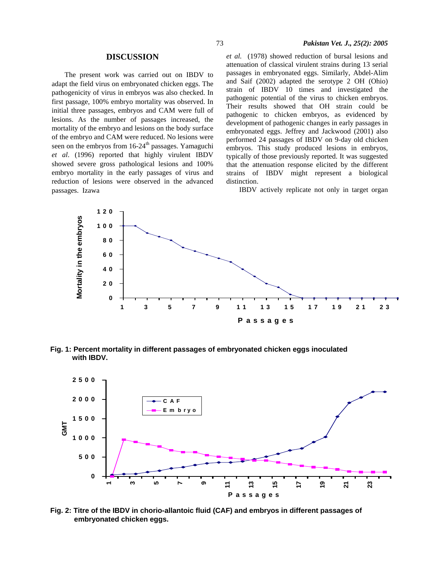#### **DISCUSSION**

 The present work was carried out on IBDV to adapt the field virus on embryonated chicken eggs. The pathogenicity of virus in embryos was also checked. In first passage, 100% embryo mortality was observed. In initial three passages, embryos and CAM were full of lesions. As the number of passages increased, the mortality of the embryo and lesions on the body surface of the embryo and CAM were reduced. No lesions were seen on the embryos from  $16-24<sup>th</sup>$  passages. Yamaguchi *et al*. (1996) reported that highly virulent IBDV showed severe gross pathological lesions and 100% embryo mortality in the early passages of virus and reduction of lesions were observed in the advanced passages. Izawa

*et al.* (1978) showed reduction of bursal lesions and attenuation of classical virulent strains during 13 serial passages in embryonated eggs. Similarly, Abdel-Alim and Saif (2002) adapted the serotype 2 OH (Ohio) strain of IBDV 10 times and investigated the pathogenic potential of the virus to chicken embryos. Their results showed that OH strain could be pathogenic to chicken embryos, as evidenced by development of pathogenic changes in early passages in embryonated eggs. Jeffrey and Jackwood (2001) also performed 24 passages of IBDV on 9-day old chicken embryos. This study produced lesions in embryos, typically of those previously reported. It was suggested that the attenuation response elicited by the different strains of IBDV might represent a biological distinction.

IBDV actively replicate not only in target organ



**Fig. 1: Percent mortality in different passages of embryonated chicken eggs inoculated with IBDV.** 



**Fig. 2: Titre of the IBDV in chorio-allantoic fluid (CAF) and embryos in different passages of embryonated chicken eggs.**